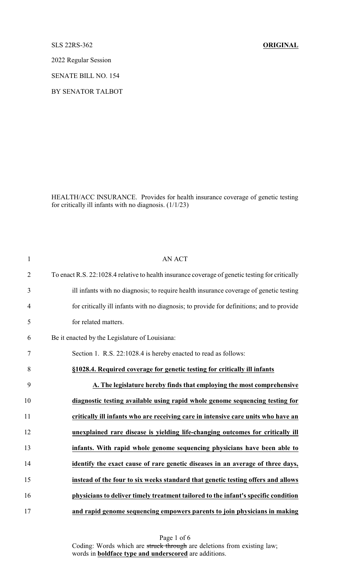SLS 22RS-362 **ORIGINAL**

2022 Regular Session

SENATE BILL NO. 154

BY SENATOR TALBOT

HEALTH/ACC INSURANCE. Provides for health insurance coverage of genetic testing for critically ill infants with no diagnosis. (1/1/23)

| $\mathbf{1}$   | <b>AN ACT</b>                                                                                   |
|----------------|-------------------------------------------------------------------------------------------------|
| $\overline{2}$ | To enact R.S. 22:1028.4 relative to health insurance coverage of genetic testing for critically |
| 3              | ill infants with no diagnosis; to require health insurance coverage of genetic testing          |
| 4              | for critically ill infants with no diagnosis; to provide for definitions; and to provide        |
| 5              | for related matters.                                                                            |
| 6              | Be it enacted by the Legislature of Louisiana:                                                  |
| $\tau$         | Section 1. R.S. 22:1028.4 is hereby enacted to read as follows:                                 |
| 8              | §1028.4. Required coverage for genetic testing for critically ill infants                       |
| 9              | A. The legislature hereby finds that employing the most comprehensive                           |
| 10             | diagnostic testing available using rapid whole genome sequencing testing for                    |
| 11             | critically ill infants who are receiving care in intensive care units who have an               |
| 12             | unexplained rare disease is yielding life-changing outcomes for critically ill                  |
| 13             | infants. With rapid whole genome sequencing physicians have been able to                        |
| 14             | identify the exact cause of rare genetic diseases in an average of three days,                  |
| 15             | instead of the four to six weeks standard that genetic testing offers and allows                |
| 16             | physicians to deliver timely treatment tailored to the infant's specific condition              |
| 17             | and rapid genome sequencing empowers parents to join physicians in making                       |

Page 1 of 6 Coding: Words which are struck through are deletions from existing law; words in **boldface type and underscored** are additions.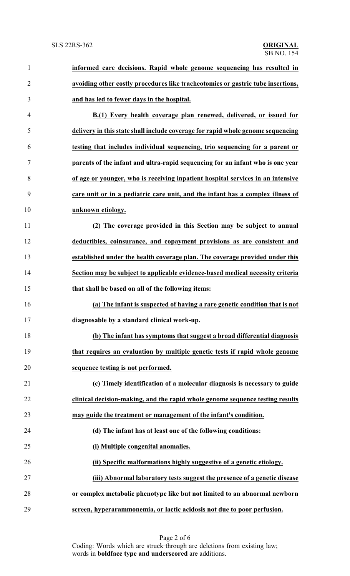| 1              | informed care decisions. Rapid whole genome sequencing has resulted in          |
|----------------|---------------------------------------------------------------------------------|
| $\overline{2}$ | avoiding other costly procedures like tracheotomies or gastric tube insertions, |
| 3              | and has led to fewer days in the hospital.                                      |
| 4              | B.(1) Every health coverage plan renewed, delivered, or issued for              |
| 5              | delivery in this state shall include coverage for rapid whole genome sequencing |
| 6              | testing that includes individual sequencing, trio sequencing for a parent or    |
| $\tau$         | parents of the infant and ultra-rapid sequencing for an infant who is one year  |
| 8              | of age or younger, who is receiving inpatient hospital services in an intensive |
| 9              | care unit or in a pediatric care unit, and the infant has a complex illness of  |
| 10             | unknown etiology.                                                               |
| 11             | (2) The coverage provided in this Section may be subject to annual              |
| 12             | deductibles, coinsurance, and copayment provisions as are consistent and        |
| 13             | established under the health coverage plan. The coverage provided under this    |
| 14             | Section may be subject to applicable evidence-based medical necessity criteria  |
| 15             | that shall be based on all of the following items:                              |
| 16             | (a) The infant is suspected of having a rare genetic condition that is not      |
| 17             | diagnosable by a standard clinical work-up.                                     |
| 18             | (b) The infant has symptoms that suggest a broad differential diagnosis         |
| 19             | that requires an evaluation by multiple genetic tests if rapid whole genome     |
| 20             | sequence testing is not performed.                                              |
| 21             | (c) Timely identification of a molecular diagnosis is necessary to guide        |
| 22             | clinical decision-making, and the rapid whole genome sequence testing results   |
| 23             | may guide the treatment or management of the infant's condition.                |
| 24             | (d) The infant has at least one of the following conditions:                    |
| 25             | (i) Multiple congenital anomalies.                                              |
| 26             | (ii) Specific malformations highly suggestive of a genetic etiology.            |
| 27             | (iii) Abnormal laboratory tests suggest the presence of a genetic disease       |
| 28             | or complex metabolic phenotype like but not limited to an abnormal newborn      |
| 29             | screen, hyperarammonemia, or lactic acidosis not due to poor perfusion.         |

Page 2 of 6 Coding: Words which are struck through are deletions from existing law; words in **boldface type and underscored** are additions.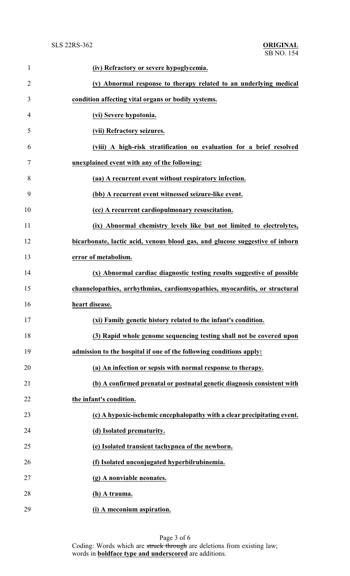| $\mathbf{1}$   | (iv) Refractory or severe hypoglycemia.                                      |
|----------------|------------------------------------------------------------------------------|
| $\overline{2}$ | (v) Abnormal response to therapy related to an underlying medical            |
| 3              | condition affecting vital organs or bodily systems.                          |
| $\overline{4}$ | (vi) Severe hypotonia.                                                       |
| 5              | (vii) Refractory seizures.                                                   |
| 6              | (viii) A high-risk stratification on evaluation for a brief resolved         |
| 7              | unexplained event with any of the following:                                 |
| 8              | (aa) A recurrent event without respiratory infection.                        |
| 9              | (bb) A recurrent event witnessed seizure-like event.                         |
| 10             | (cc) A recurrent cardiopulmonary resuscitation.                              |
| 11             | (ix) Abnormal chemistry levels like but not limited to electrolytes,         |
| 12             | bicarbonate, lactic acid, venous blood gas, and glucose suggestive of inborn |
| 13             | error of metabolism.                                                         |
| 14             | (x) Abnormal cardiac diagnostic testing results suggestive of possible       |
| 15             | channelopathies, arrhythmias, cardiomyopathies, myocarditis, or structural   |
| 16             | heart disease.                                                               |
| 17             | (xi) Family genetic history related to the infant's condition                |
| 18             | (3) Rapid whole genome sequencing testing shall not be covered upon          |
| 19             | admission to the hospital if one of the following conditions apply:          |
| 20             | (a) An infection or sepsis with normal response to therapy.                  |
| 21             | (b) A confirmed prenatal or postnatal genetic diagnosis consistent with      |
| 22             | the infant's condition.                                                      |
| 23             | (c) A hypoxic-ischemic encephalopathy with a clear precipitating event.      |
| 24             | (d) Isolated prematurity.                                                    |
| 25             | (e) Isolated transient tachypnea of the newborn.                             |
| 26             | (f) Isolated unconjugated hyperbilrubinemia.                                 |
| 27             | (g) A nonviable neonates.                                                    |
| 28             | (h) A trauma.                                                                |
| 29             | (i) A meconium aspiration.                                                   |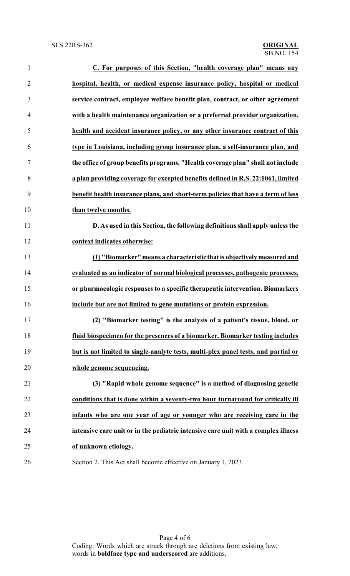| $\mathbf{1}$   | C. For purposes of this Section, "health coverage plan" means any                  |
|----------------|------------------------------------------------------------------------------------|
| $\overline{2}$ | hospital, health, or medical expense insurance policy, hospital or medical         |
| 3              | service contract, employee welfare benefit plan, contract, or other agreement      |
| 4              | with a health maintenance organization or a preferred provider organization,       |
| 5              | health and accident insurance policy, or any other insurance contract of this      |
| 6              | type in Louisiana, including group insurance plan, a self-insurance plan, and      |
| 7              | the office of group benefits programs. "Health coverage plan" shall not include    |
| 8              | a plan providing coverage for excepted benefits defined in R.S. 22:1061, limited   |
| 9              | benefit health insurance plans, and short-term policies that have a term of less   |
| 10             | than twelve months.                                                                |
| 11             | D. As used in this Section, the following definitions shall apply unless the       |
| 12             | context indicates otherwise:                                                       |
| 13             | (1) "Biomarker" means a characteristic that is objectively measured and            |
| 14             | evaluated as an indicator of normal biological processes, pathogenic processes,    |
| 15             | or pharmacologic responses to a specific therapeutic intervention. Biomarkers      |
| 16             | include but are not limited to gene mutations or protein expression.               |
| 17             | (2) "Biomarker testing" is the analysis of a patient's tissue, blood, or           |
| 18             | fluid biospecimen for the presences of a biomarker. Biomarker testing includes     |
| 19             | but is not limited to single-analyte tests, multi-plex panel tests, and partial or |
| 20             | whole genome sequencing.                                                           |
| 21             | (3) "Rapid whole genome sequence" is a method of diagnosing genetic                |
| 22             | conditions that is done within a seventy-two hour turnaround for critically ill    |
| 23             | infants who are one year of age or younger who are receiving care in the           |
| 24             | intensive care unit or in the pediatric intensive care unit with a complex illness |
| 25             | of unknown etiology.                                                               |
| 26             | Section 2. This Act shall become effective on January 1, 2023.                     |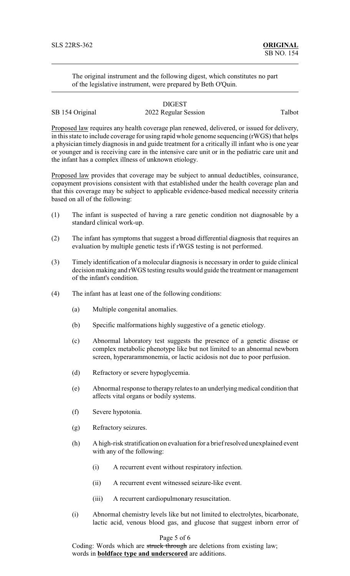The original instrument and the following digest, which constitutes no part of the legislative instrument, were prepared by Beth O'Quin.

## DIGEST SB 154 Original 2022 Regular Session Talbot

Proposed law requires any health coverage plan renewed, delivered, or issued for delivery, in this state to include coverage for using rapid whole genome sequencing (rWGS) that helps a physician timely diagnosis in and guide treatment for a critically ill infant who is one year or younger and is receiving care in the intensive care unit or in the pediatric care unit and the infant has a complex illness of unknown etiology.

Proposed law provides that coverage may be subject to annual deductibles, coinsurance, copayment provisions consistent with that established under the health coverage plan and that this coverage may be subject to applicable evidence-based medical necessity criteria based on all of the following:

- (1) The infant is suspected of having a rare genetic condition not diagnosable by a standard clinical work-up.
- (2) The infant has symptoms that suggest a broad differential diagnosis that requires an evaluation by multiple genetic tests if rWGS testing is not performed.
- (3) Timely identification of a molecular diagnosis is necessary in order to guide clinical decision making and rWGS testing results would guide the treatment or management of the infant's condition.
- (4) The infant has at least one of the following conditions:
	- (a) Multiple congenital anomalies.
	- (b) Specific malformations highly suggestive of a genetic etiology.
	- (c) Abnormal laboratory test suggests the presence of a genetic disease or complex metabolic phenotype like but not limited to an abnormal newborn screen, hyperarammonemia, or lactic acidosis not due to poor perfusion.
	- (d) Refractory or severe hypoglycemia.
	- (e) Abnormal response to therapy relates to an underlyingmedical condition that affects vital organs or bodily systems.
	- (f) Severe hypotonia.
	- (g) Refractory seizures.
	- (h) A high-risk stratification on evaluation for a brief resolved unexplained event with any of the following:
		- (i) A recurrent event without respiratory infection.
		- (ii) A recurrent event witnessed seizure-like event.
		- (iii) A recurrent cardiopulmonary resuscitation.
	- (i) Abnormal chemistry levels like but not limited to electrolytes, bicarbonate, lactic acid, venous blood gas, and glucose that suggest inborn error of

## Page 5 of 6

Coding: Words which are struck through are deletions from existing law; words in **boldface type and underscored** are additions.